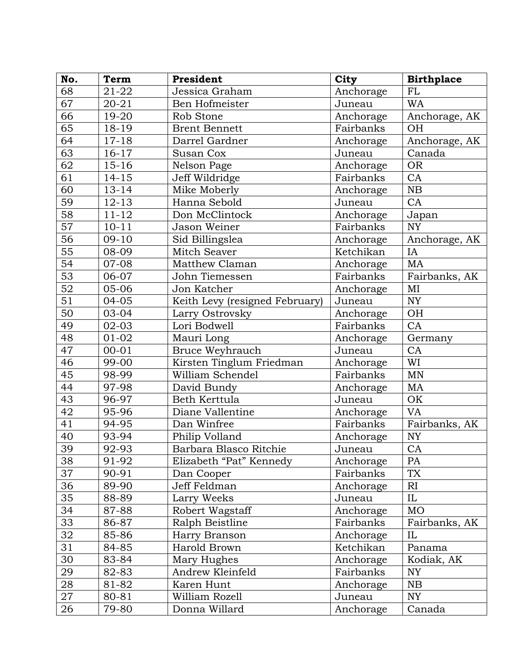| No.             | Term      | President                      | <b>City</b> | <b>Birthplace</b> |
|-----------------|-----------|--------------------------------|-------------|-------------------|
| 68              | 21-22     | Jessica Graham                 | Anchorage   | <b>FL</b>         |
| 67              | $20 - 21$ | Ben Hofmeister                 | Juneau      | <b>WA</b>         |
| 66              | 19-20     | Rob Stone                      | Anchorage   | Anchorage, AK     |
| 65              | 18-19     | <b>Brent Bennett</b>           | Fairbanks   | <b>OH</b>         |
| 64              | $17 - 18$ | Darrel Gardner                 | Anchorage   | Anchorage, AK     |
| $\overline{63}$ | $16 - 17$ | Susan Cox                      | Juneau      | Canada            |
| 62              | $15 - 16$ | Nelson Page                    | Anchorage   | <b>OR</b>         |
| 61              | $14 - 15$ | Jeff Wildridge                 | Fairbanks   | CA                |
| 60              | $13 - 14$ | Mike Moberly                   | Anchorage   | NB                |
| 59              | $12 - 13$ | Hanna Sebold                   | Juneau      | CA                |
| 58              | $11 - 12$ | Don McClintock                 | Anchorage   | Japan             |
| 57              | $10 - 11$ | Jason Weiner                   | Fairbanks   | <b>NY</b>         |
| 56              | $09-10$   | Sid Billingslea                | Anchorage   | Anchorage, AK     |
| 55              | 08-09     | Mitch Seaver                   | Ketchikan   | IA                |
| 54              | 07-08     | Matthew Claman                 | Anchorage   | MA                |
| $\overline{53}$ | 06-07     | John Tiemessen                 | Fairbanks   | Fairbanks, AK     |
| 52              | 05-06     | Jon Katcher                    | Anchorage   | MI                |
| 51              | $04 - 05$ | Keith Levy (resigned February) | Juneau      | <b>NY</b>         |
| 50              | 03-04     | Larry Ostrovsky                | Anchorage   | OH                |
| 49              | $02 - 03$ | Lori Bodwell                   | Fairbanks   | CA                |
| 48              | $01 - 02$ | Mauri Long                     | Anchorage   | Germany           |
| 47              | $00 - 01$ | Bruce Weyhrauch                | Juneau      | CA                |
| 46              | 99-00     | Kirsten Tinglum Friedman       | Anchorage   | WI                |
| 45              | 98-99     | William Schendel               | Fairbanks   | MN                |
| 44              | 97-98     | David Bundy                    | Anchorage   | MA                |
| 43              | 96-97     | Beth Kerttula                  | Juneau      | OK                |
| 42              | 95-96     | Diane Vallentine               | Anchorage   | VA                |
| 41              | 94-95     | Dan Winfree                    | Fairbanks   | Fairbanks, AK     |
| 40              | 93-94     | Philip Volland                 | Anchorage   | <b>NY</b>         |
| 39              | 92-93     | Barbara Blasco Ritchie         | Juneau      | CA                |
| 38              | 91-92     | Elizabeth "Pat" Kennedy        | Anchorage   | PA                |
| 37              | 90-91     | Dan Cooper                     | Fairbanks   | TX                |
| 36              | 89-90     | Jeff Feldman                   | Anchorage   | RI                |
| 35              | 88-89     | Larry Weeks                    | Juneau      | IL                |
| 34              | 87-88     | Robert Wagstaff                | Anchorage   | <b>MO</b>         |
| 33              | 86-87     | Ralph Beistline                | Fairbanks   | Fairbanks, AK     |
| 32              | 85-86     | Harry Branson                  | Anchorage   | IL                |
| 31              | 84-85     | Harold Brown                   | Ketchikan   | Panama            |
| 30              | 83-84     | Mary Hughes                    | Anchorage   | Kodiak, AK        |
| 29              | 82-83     | Andrew Kleinfeld               | Fairbanks   | NY                |
| 28              | 81-82     | Karen Hunt                     | Anchorage   | NB                |
| 27              | 80-81     | William Rozell                 | Juneau      | NY                |
| 26              | 79-80     | Donna Willard                  | Anchorage   | Canada            |